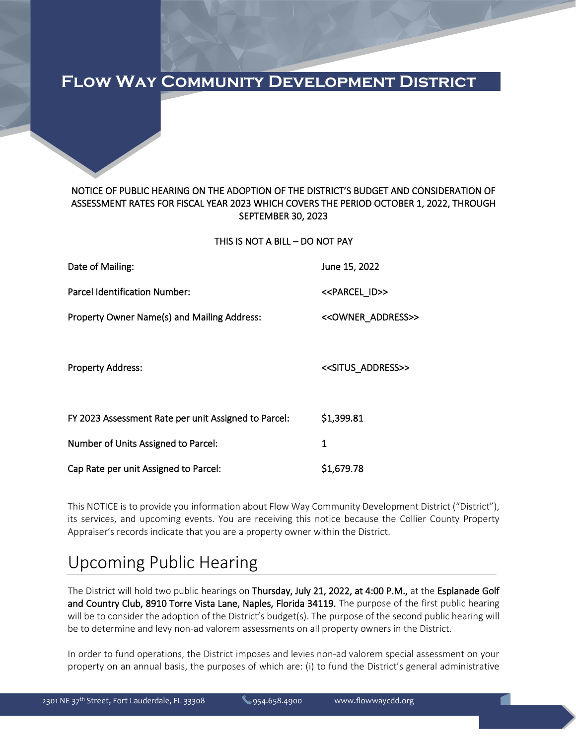### **Flow Way Community Development District**

### NOTICE OF PUBLIC HEARING ON THE ADOPTION OF THE DISTRICT'S BUDGET AND CONSIDERATION OF ASSESSMENT RATES FOR FISCAL YEAR 2023 WHICH COVERS THE PERIOD OCTOBER 1, 2022, THROUGH SEPTEMBER 30, 2023

THIS IS NOT A BILL – DO NOT PAY

| Date of Mailing:                                     | June 15, 2022                         |
|------------------------------------------------------|---------------------------------------|
| Parcel Identification Number:                        | < <parcel id="">&gt;</parcel>         |
| Property Owner Name(s) and Mailing Address:          | < <owner_address>&gt;</owner_address> |
|                                                      |                                       |
| <b>Property Address:</b>                             | < <situs_address>&gt;</situs_address> |
|                                                      |                                       |
| FY 2023 Assessment Rate per unit Assigned to Parcel: | \$1,399.81                            |
| Number of Units Assigned to Parcel:                  | 1                                     |
| Cap Rate per unit Assigned to Parcel:                | \$1,679.78                            |

This NOTICE is to provide you information about Flow Way Community Development District ("District"), its services, and upcoming events. You are receiving this notice because the Collier County Property Appraiser's records indicate that you are a property owner within the District.

# Upcoming Public Hearing

The District will hold two public hearings on Thursday, July 21, 2022, at 4:00 P.M., at the Esplanade Golf and Country Club, 8910 Torre Vista Lane, Naples, Florida 34119. The purpose of the first public hearing will be to consider the adoption of the District's budget(s). The purpose of the second public hearing will be to determine and levy non-ad valorem assessments on all property owners in the District.

In order to fund operations, the District imposes and levies non-ad valorem special assessment on your property on an annual basis, the purposes of which are: (i) to fund the District's general administrative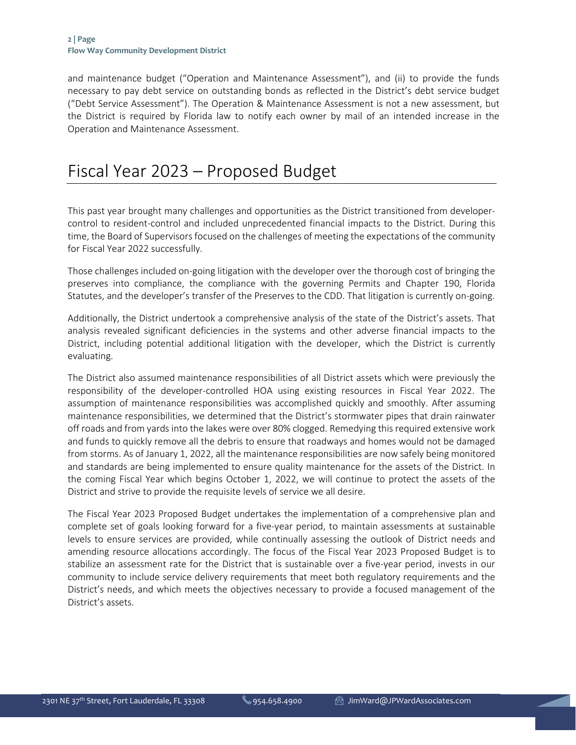and maintenance budget ("Operation and Maintenance Assessment"), and (ii) to provide the funds necessary to pay debt service on outstanding bonds as reflected in the District's debt service budget ("Debt Service Assessment"). The Operation & Maintenance Assessment is not a new assessment, but the District is required by Florida law to notify each owner by mail of an intended increase in the Operation and Maintenance Assessment.

# Fiscal Year 2023 – Proposed Budget

This past year brought many challenges and opportunities as the District transitioned from developercontrol to resident-control and included unprecedented financial impacts to the District. During this time, the Board of Supervisors focused on the challenges of meeting the expectations of the community for Fiscal Year 2022 successfully.

Those challenges included on-going litigation with the developer over the thorough cost of bringing the preserves into compliance, the compliance with the governing Permits and Chapter 190, Florida Statutes, and the developer's transfer of the Preserves to the CDD. That litigation is currently on-going.

Additionally, the District undertook a comprehensive analysis of the state of the District's assets. That analysis revealed significant deficiencies in the systems and other adverse financial impacts to the District, including potential additional litigation with the developer, which the District is currently evaluating.

The District also assumed maintenance responsibilities of all District assets which were previously the responsibility of the developer-controlled HOA using existing resources in Fiscal Year 2022. The assumption of maintenance responsibilities was accomplished quickly and smoothly. After assuming maintenance responsibilities, we determined that the District's stormwater pipes that drain rainwater off roads and from yards into the lakes were over 80% clogged. Remedying this required extensive work and funds to quickly remove all the debris to ensure that roadways and homes would not be damaged from storms. As of January 1, 2022, all the maintenance responsibilities are now safely being monitored and standards are being implemented to ensure quality maintenance for the assets of the District. In the coming Fiscal Year which begins October 1, 2022, we will continue to protect the assets of the District and strive to provide the requisite levels of service we all desire.

The Fiscal Year 2023 Proposed Budget undertakes the implementation of a comprehensive plan and complete set of goals looking forward for a five-year period, to maintain assessments at sustainable levels to ensure services are provided, while continually assessing the outlook of District needs and amending resource allocations accordingly. The focus of the Fiscal Year 2023 Proposed Budget is to stabilize an assessment rate for the District that is sustainable over a five-year period, invests in our community to include service delivery requirements that meet both regulatory requirements and the District's needs, and which meets the objectives necessary to provide a focused management of the District's assets.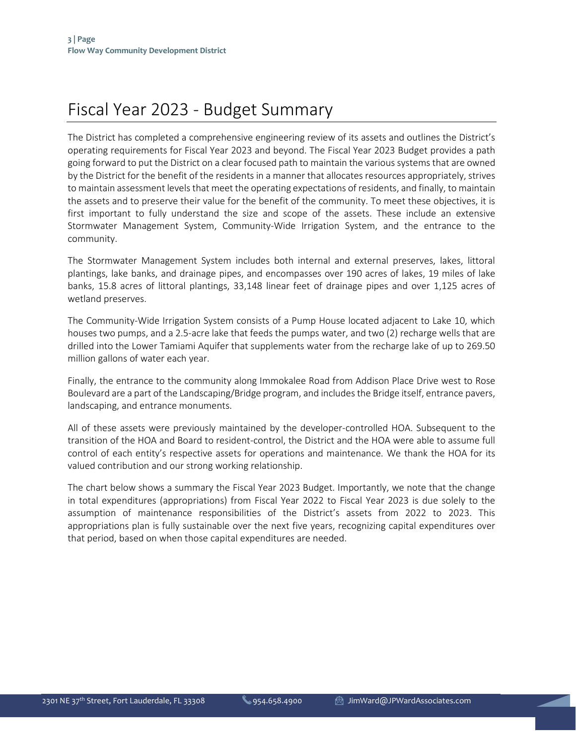# Fiscal Year 2023 - Budget Summary

The District has completed a comprehensive engineering review of its assets and outlines the District's operating requirements for Fiscal Year 2023 and beyond. The Fiscal Year 2023 Budget provides a path going forward to put the District on a clear focused path to maintain the various systems that are owned by the District for the benefit of the residents in a manner that allocates resources appropriately, strives to maintain assessment levels that meet the operating expectations of residents, and finally, to maintain the assets and to preserve their value for the benefit of the community. To meet these objectives, it is first important to fully understand the size and scope of the assets. These include an extensive Stormwater Management System, Community-Wide Irrigation System, and the entrance to the community.

The Stormwater Management System includes both internal and external preserves, lakes, littoral plantings, lake banks, and drainage pipes, and encompasses over 190 acres of lakes, 19 miles of lake banks, 15.8 acres of littoral plantings, 33,148 linear feet of drainage pipes and over 1,125 acres of wetland preserves.

The Community-Wide Irrigation System consists of a Pump House located adjacent to Lake 10, which houses two pumps, and a 2.5-acre lake that feeds the pumps water, and two (2) recharge wells that are drilled into the Lower Tamiami Aquifer that supplements water from the recharge lake of up to 269.50 million gallons of water each year.

Finally, the entrance to the community along Immokalee Road from Addison Place Drive west to Rose Boulevard are a part of the Landscaping/Bridge program, and includes the Bridge itself, entrance pavers, landscaping, and entrance monuments.

All of these assets were previously maintained by the developer-controlled HOA. Subsequent to the transition of the HOA and Board to resident-control, the District and the HOA were able to assume full control of each entity's respective assets for operations and maintenance. We thank the HOA for its valued contribution and our strong working relationship.

The chart below shows a summary the Fiscal Year 2023 Budget. Importantly, we note that the change in total expenditures (appropriations) from Fiscal Year 2022 to Fiscal Year 2023 is due solely to the assumption of maintenance responsibilities of the District's assets from 2022 to 2023. This appropriations plan is fully sustainable over the next five years, recognizing capital expenditures over that period, based on when those capital expenditures are needed.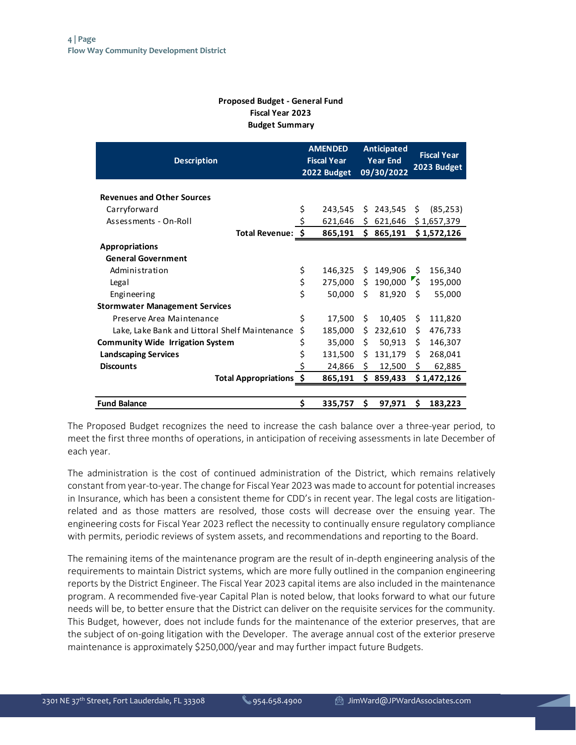### **Proposed Budget - General Fund Fiscal Year 2023 Budget Summary**

| <b>Description</b>                             | <b>AMENDED</b><br><b>Fiscal Year</b><br>2022 Budget |     | Anticipated<br><b>Year End</b><br>09/30/2022 | <b>Fiscal Year</b><br>2023 Budget |             |  |
|------------------------------------------------|-----------------------------------------------------|-----|----------------------------------------------|-----------------------------------|-------------|--|
| <b>Revenues and Other Sources</b>              |                                                     |     |                                              |                                   |             |  |
| Carryforward                                   | \$<br>243,545                                       | Ŝ.  | 243,545                                      | \$                                | (85, 253)   |  |
| Assessments - On-Roll                          | \$<br>621,646                                       | \$. | 621,646                                      |                                   | \$1,657,379 |  |
| Total Revenue: \$                              | 865,191                                             | \$  | 865,191                                      |                                   | \$1,572,126 |  |
| <b>Appropriations</b>                          |                                                     |     |                                              |                                   |             |  |
| <b>General Government</b>                      |                                                     |     |                                              |                                   |             |  |
| Administration                                 | \$<br>146,325                                       | Ś.  | 149,906                                      | \$                                | 156,340     |  |
| Legal                                          | \$<br>275,000                                       |     | $$190,000$ \$                                |                                   | 195,000     |  |
| Engineering                                    | \$<br>50,000                                        | Ś   | 81,920                                       | Ŝ.                                | 55,000      |  |
| <b>Stormwater Management Services</b>          |                                                     |     |                                              |                                   |             |  |
| Preserve Area Maintenance                      | \$<br>17,500                                        | Ŝ.  | 10,405                                       | Ś.                                | 111,820     |  |
| Lake, Lake Bank and Littoral Shelf Maintenance | \$<br>185,000                                       | Ś   | 232,610                                      | Ś.                                | 476,733     |  |
| <b>Community Wide Irrigation System</b>        | \$<br>35,000                                        | \$. | 50,913                                       | \$.                               | 146,307     |  |
| <b>Landscaping Services</b>                    | \$<br>131,500                                       | Ŝ.  | 131,179                                      | Ś.                                | 268,041     |  |
| <b>Discounts</b>                               | \$<br>24,866                                        | \$  | 12,500                                       | \$                                | 62,885      |  |
| Total Appropriations \$                        | 865,191                                             | Ŝ.  | 859,433                                      |                                   | \$1,472,126 |  |
|                                                |                                                     |     |                                              |                                   |             |  |
| <b>Fund Balance</b>                            | \$<br>335,757                                       | Ś.  | 97,971                                       | Ś                                 | 183,223     |  |

The Proposed Budget recognizes the need to increase the cash balance over a three-year period, to meet the first three months of operations, in anticipation of receiving assessments in late December of each year.

The administration is the cost of continued administration of the District, which remains relatively constant from year-to-year. The change for Fiscal Year 2023 was made to account for potential increases in Insurance, which has been a consistent theme for CDD's in recent year. The legal costs are litigationrelated and as those matters are resolved, those costs will decrease over the ensuing year. The engineering costs for Fiscal Year 2023 reflect the necessity to continually ensure regulatory compliance with permits, periodic reviews of system assets, and recommendations and reporting to the Board.

The remaining items of the maintenance program are the result of in-depth engineering analysis of the requirements to maintain District systems, which are more fully outlined in the companion engineering reports by the District Engineer. The Fiscal Year 2023 capital items are also included in the maintenance program. A recommended five-year Capital Plan is noted below, that looks forward to what our future needs will be, to better ensure that the District can deliver on the requisite services for the community. This Budget, however, does not include funds for the maintenance of the exterior preserves, that are the subject of on-going litigation with the Developer. The average annual cost of the exterior preserve maintenance is approximately \$250,000/year and may further impact future Budgets.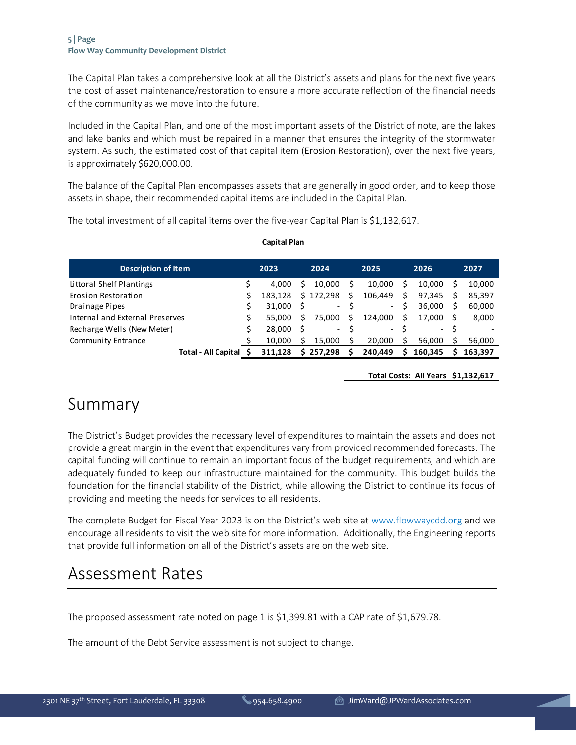#### **5 | Page Flow Way Community Development District**

The Capital Plan takes a comprehensive look at all the District's assets and plans for the next five years the cost of asset maintenance/restoration to ensure a more accurate reflection of the financial needs of the community as we move into the future.

Included in the Capital Plan, and one of the most important assets of the District of note, are the lakes and lake banks and which must be repaired in a manner that ensures the integrity of the stormwater system. As such, the estimated cost of that capital item (Erosion Restoration), over the next five years, is approximately \$620,000.00.

The balance of the Capital Plan encompasses assets that are generally in good order, and to keep those assets in shape, their recommended capital items are included in the Capital Plan.

The total investment of all capital items over the five-year Capital Plan is \$1,132,617.

| <b>Description of Item</b>      | 2023 |         | 2024 |           |    | 2025    |   | 2026    |   | 2027    |  |
|---------------------------------|------|---------|------|-----------|----|---------|---|---------|---|---------|--|
| Littoral Shelf Plantings        |      | 4.000   |      | 10.000    |    | 10.000  | S | 10.000  |   | 10,000  |  |
| Erosion Restoration             |      | 183.128 |      | \$172.298 | Ŝ. | 106.449 | Ś | 97,345  | S | 85,397  |  |
| <b>Drainage Pipes</b>           |      | 31.000  |      | $\sim$    |    | $\sim$  | Ś | 36.000  | S | 60,000  |  |
| Internal and External Preserves | s    | 55.000  |      | 75.000    | S  | 124.000 | Ś | 17.000  |   | 8,000   |  |
| Recharge Wells (New Meter)      | Ś    | 28,000  |      | $\sim$    |    | $\sim$  | Ś | $\sim$  |   |         |  |
| <b>Community Entrance</b>       |      | 10.000  |      | 15.000    |    | 20.000  |   | 56.000  |   | 56,000  |  |
| Total - All Capital             |      | 311.128 |      | 257.298   |    | 240.449 | S | 160.345 |   | 163.397 |  |

#### **Capital Plan**

**Total Costs: All Years \$ 1,132,617**

### Summary

The District's Budget provides the necessary level of expenditures to maintain the assets and does not provide a great margin in the event that expenditures vary from provided recommended forecasts. The capital funding will continue to remain an important focus of the budget requirements, and which are adequately funded to keep our infrastructure maintained for the community. This budget builds the foundation for the financial stability of the District, while allowing the District to continue its focus of providing and meeting the needs for services to all residents.

The complete Budget for Fiscal Year 2023 is on the District's web site at [www.flowwaycdd.org](http://www.flowwaycdd.org/) and we encourage all residents to visit the web site for more information. Additionally, the Engineering reports that provide full information on all of the District's assets are on the web site.

### Assessment Rates

The proposed assessment rate noted on page 1 is \$1,399.81 with a CAP rate of \$1,679.78.

The amount of the Debt Service assessment is not subject to change.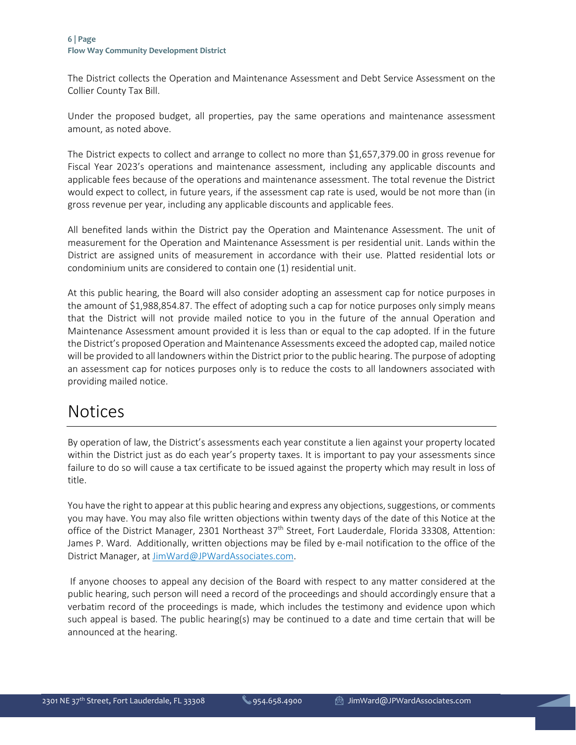The District collects the Operation and Maintenance Assessment and Debt Service Assessment on the Collier County Tax Bill.

Under the proposed budget, all properties, pay the same operations and maintenance assessment amount, as noted above.

The District expects to collect and arrange to collect no more than \$1,657,379.00 in gross revenue for Fiscal Year 2023's operations and maintenance assessment, including any applicable discounts and applicable fees because of the operations and maintenance assessment. The total revenue the District would expect to collect, in future years, if the assessment cap rate is used, would be not more than (in gross revenue per year, including any applicable discounts and applicable fees.

All benefited lands within the District pay the Operation and Maintenance Assessment. The unit of measurement for the Operation and Maintenance Assessment is per residential unit. Lands within the District are assigned units of measurement in accordance with their use. Platted residential lots or condominium units are considered to contain one (1) residential unit.

At this public hearing, the Board will also consider adopting an assessment cap for notice purposes in the amount of \$1,988,854.87. The effect of adopting such a cap for notice purposes only simply means that the District will not provide mailed notice to you in the future of the annual Operation and Maintenance Assessment amount provided it is less than or equal to the cap adopted. If in the future the District's proposed Operation and Maintenance Assessments exceed the adopted cap, mailed notice will be provided to all landowners within the District prior to the public hearing. The purpose of adopting an assessment cap for notices purposes only is to reduce the costs to all landowners associated with providing mailed notice.

### Notices

By operation of law, the District's assessments each year constitute a lien against your property located within the District just as do each year's property taxes. It is important to pay your assessments since failure to do so will cause a tax certificate to be issued against the property which may result in loss of title.

You have the right to appear at this public hearing and express any objections, suggestions, or comments you may have. You may also file written objections within twenty days of the date of this Notice at the office of the District Manager, 2301 Northeast 37<sup>th</sup> Street, Fort Lauderdale, Florida 33308, Attention: James P. Ward. Additionally, written objections may be filed by e-mail notification to the office of the District Manager, at [JimWard@JPWardAssociates.com.](mailto:JimWard@JPWardAssociates.com)

If anyone chooses to appeal any decision of the Board with respect to any matter considered at the public hearing, such person will need a record of the proceedings and should accordingly ensure that a verbatim record of the proceedings is made, which includes the testimony and evidence upon which such appeal is based. The public hearing(s) may be continued to a date and time certain that will be announced at the hearing.